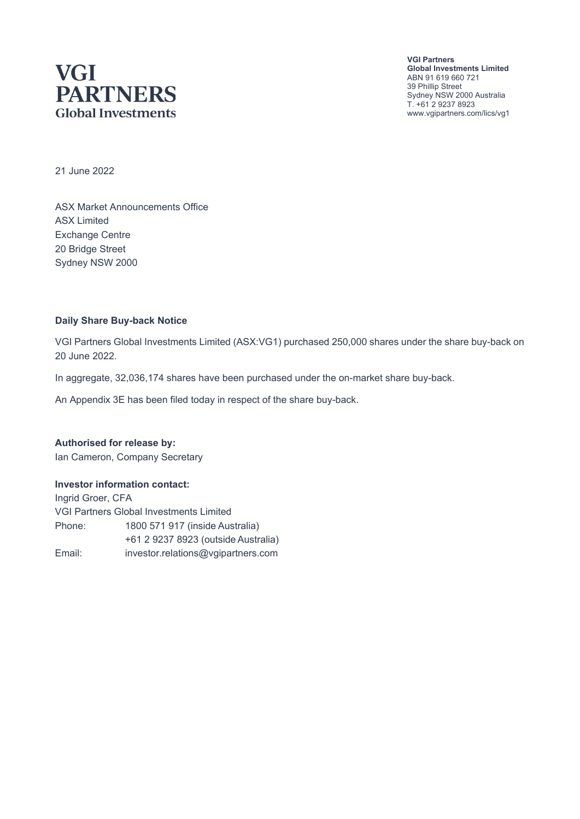## **VGI PARTNERS Global Investments**

**VGI Partners Global Investments Limited** ABN 91 619 660 721 39 Phillip Street Sydney NSW 2000 Australia T. +61 2 9237 8923 www.vgipartners.com/lics/vg1

21 June 2022

ASX Market Announcements Office ASX Limited Exchange Centre 20 Bridge Street Sydney NSW 2000

#### **Daily Share Buy-back Notice**

VGI Partners Global Investments Limited (ASX:VG1) purchased 250,000 shares under the share buy-back on 20 June 2022.

In aggregate, 32,036,174 shares have been purchased under the on-market share buy-back.

An Appendix 3E has been filed today in respect of the share buy-back.

**Authorised for release by:** Ian Cameron, Company Secretary

#### **Investor information contact:**

Ingrid Groer, CFA VGI Partners Global Investments Limited Phone: 1800 571 917 (inside Australia) +61 2 9237 8923 (outside Australia) Email: investor.relations@vgipartners.com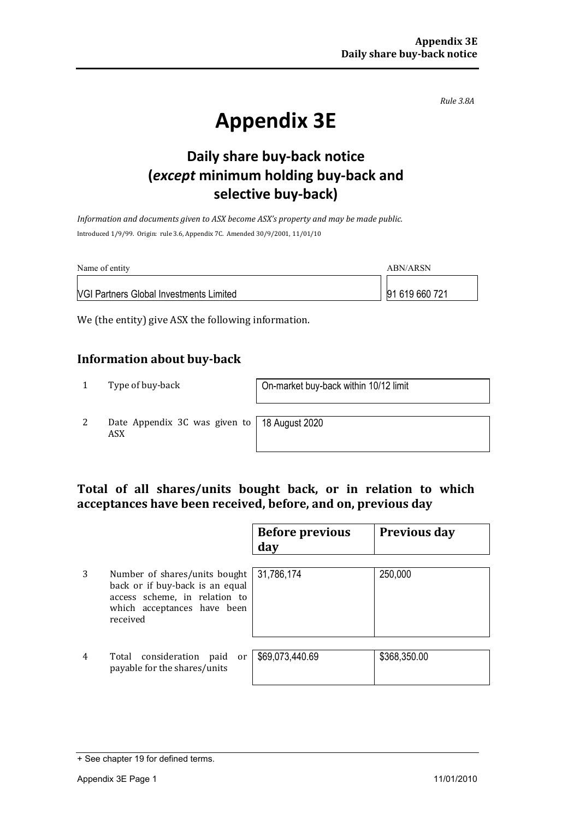*Rule 3.8A*

# **Appendix 3E**

## **Daily share buy-back notice (***except* **minimum holding buy-back and selective buy-back)**

*Information and documents given to ASX become ASX's property and may be made public.* Introduced 1/9/99. Origin: rule 3.6, Appendix 7C. Amended 30/9/2001, 11/01/10

| Name of entity                                 | ABN/ARSN       |
|------------------------------------------------|----------------|
| <b>VGI Partners Global Investments Limited</b> | 91 619 660 721 |

We (the entity) give ASX the following information.

#### **Information about buy-back**

1 Type of buy-back <br> **1** On-market buy-back within 10/12 limit

2 Date Appendix 3C was given to ASX

18 August 2020

#### **Total of all shares/units bought back, or in relation to which acceptances have been received, before, and on, previous day**

|   |                                                                                                                                              | <b>Before previous</b><br>day | <b>Previous day</b> |
|---|----------------------------------------------------------------------------------------------------------------------------------------------|-------------------------------|---------------------|
| 3 | Number of shares/units bought<br>back or if buy-back is an equal<br>access scheme, in relation to<br>which acceptances have been<br>received | 31,786,174                    | 250,000             |
| 4 | Total consideration<br>paid<br>or<br>payable for the shares/units                                                                            | \$69,073,440.69               | \$368,350.00        |

<sup>+</sup> See chapter 19 for defined terms.